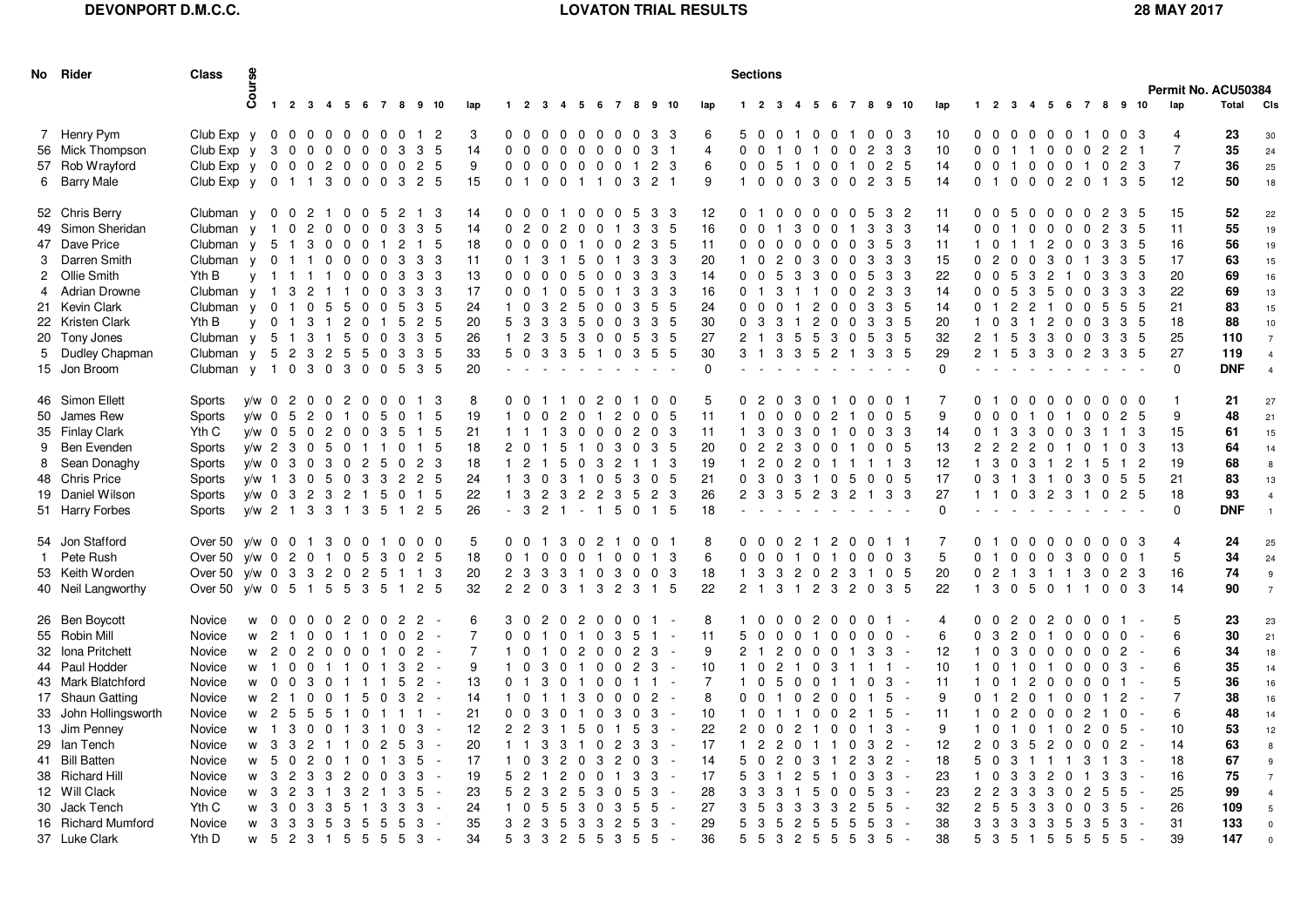## **DEVONPORT D.M.C.C.**

## **LOVATON TRIAL RESULTS 28 MAY 2017**

| No Rider                                                                                                                                                                                                                                                                                 | <b>Class</b>                                                                                                                                            |                                                                                                                                                         |                                                                                                                                                                                           |                                                                                                                                                           |                                                                                                                                                                                                                                                                   |                                                                                                           |                                                                                                   |                                                                                                                                                                                                                           |                                                        |                                                                                                              |                                                                                                                                                                                                  |                                                                                                                                      |                                                                                                                                                      | <b>Sections</b>                                                               |                                                                                                                          |                                                                                                                                                                                                                                                           |                                                                                                                     |                                                          |                                                                                    |                                                                                                                                                                                   |                                                                                                |                                                                                                                                                                                                                                                                                                                                                   |                                                                                                     |                                                                                                                      |                                                                        |                                                                                                                           |                                                                                                                       |                                                                                                 |                                                                                                                                                                                     |                                                                                                                       |                                                                                       |                                                                                                                                                                                                                |                                                                                                                                          |                                                                                                                               |                                                                                                                          |                                                                                                            |                                                       |                                                                                 |                                                                                           |                                                                                                                                             |
|------------------------------------------------------------------------------------------------------------------------------------------------------------------------------------------------------------------------------------------------------------------------------------------|---------------------------------------------------------------------------------------------------------------------------------------------------------|---------------------------------------------------------------------------------------------------------------------------------------------------------|-------------------------------------------------------------------------------------------------------------------------------------------------------------------------------------------|-----------------------------------------------------------------------------------------------------------------------------------------------------------|-------------------------------------------------------------------------------------------------------------------------------------------------------------------------------------------------------------------------------------------------------------------|-----------------------------------------------------------------------------------------------------------|---------------------------------------------------------------------------------------------------|---------------------------------------------------------------------------------------------------------------------------------------------------------------------------------------------------------------------------|--------------------------------------------------------|--------------------------------------------------------------------------------------------------------------|--------------------------------------------------------------------------------------------------------------------------------------------------------------------------------------------------|--------------------------------------------------------------------------------------------------------------------------------------|------------------------------------------------------------------------------------------------------------------------------------------------------|-------------------------------------------------------------------------------|--------------------------------------------------------------------------------------------------------------------------|-----------------------------------------------------------------------------------------------------------------------------------------------------------------------------------------------------------------------------------------------------------|---------------------------------------------------------------------------------------------------------------------|----------------------------------------------------------|------------------------------------------------------------------------------------|-----------------------------------------------------------------------------------------------------------------------------------------------------------------------------------|------------------------------------------------------------------------------------------------|---------------------------------------------------------------------------------------------------------------------------------------------------------------------------------------------------------------------------------------------------------------------------------------------------------------------------------------------------|-----------------------------------------------------------------------------------------------------|----------------------------------------------------------------------------------------------------------------------|------------------------------------------------------------------------|---------------------------------------------------------------------------------------------------------------------------|-----------------------------------------------------------------------------------------------------------------------|-------------------------------------------------------------------------------------------------|-------------------------------------------------------------------------------------------------------------------------------------------------------------------------------------|-----------------------------------------------------------------------------------------------------------------------|---------------------------------------------------------------------------------------|----------------------------------------------------------------------------------------------------------------------------------------------------------------------------------------------------------------|------------------------------------------------------------------------------------------------------------------------------------------|-------------------------------------------------------------------------------------------------------------------------------|--------------------------------------------------------------------------------------------------------------------------|------------------------------------------------------------------------------------------------------------|-------------------------------------------------------|---------------------------------------------------------------------------------|-------------------------------------------------------------------------------------------|---------------------------------------------------------------------------------------------------------------------------------------------|
|                                                                                                                                                                                                                                                                                          |                                                                                                                                                         | Course                                                                                                                                                  |                                                                                                                                                                                           |                                                                                                                                                           |                                                                                                                                                                                                                                                                   |                                                                                                           |                                                                                                   |                                                                                                                                                                                                                           |                                                        |                                                                                                              |                                                                                                                                                                                                  |                                                                                                                                      |                                                                                                                                                      |                                                                               |                                                                                                                          |                                                                                                                                                                                                                                                           |                                                                                                                     |                                                          |                                                                                    |                                                                                                                                                                                   |                                                                                                |                                                                                                                                                                                                                                                                                                                                                   |                                                                                                     |                                                                                                                      |                                                                        |                                                                                                                           |                                                                                                                       |                                                                                                 |                                                                                                                                                                                     |                                                                                                                       |                                                                                       |                                                                                                                                                                                                                |                                                                                                                                          |                                                                                                                               |                                                                                                                          |                                                                                                            |                                                       |                                                                                 | Permit No. ACU50384                                                                       |                                                                                                                                             |
|                                                                                                                                                                                                                                                                                          |                                                                                                                                                         |                                                                                                                                                         | $\mathbf{1}$                                                                                                                                                                              |                                                                                                                                                           | 2 3 4 5 6 7 8 9 10                                                                                                                                                                                                                                                |                                                                                                           |                                                                                                   |                                                                                                                                                                                                                           |                                                        | lap                                                                                                          |                                                                                                                                                                                                  |                                                                                                                                      |                                                                                                                                                      |                                                                               |                                                                                                                          |                                                                                                                                                                                                                                                           | 1 2 3 4 5 6 7 8 9 10                                                                                                |                                                          | lap                                                                                |                                                                                                                                                                                   | $1 \quad 2 \quad 3$                                                                            | 4                                                                                                                                                                                                                                                                                                                                                 |                                                                                                     |                                                                                                                      |                                                                        |                                                                                                                           | 5 6 7 8 9 10                                                                                                          | lap                                                                                             |                                                                                                                                                                                     |                                                                                                                       |                                                                                       | 1 2 3 4 5 6 7 8 9 10                                                                                                                                                                                           |                                                                                                                                          |                                                                                                                               |                                                                                                                          |                                                                                                            |                                                       | lap                                                                             | Total                                                                                     | <b>CIS</b>                                                                                                                                  |
| 7 Henry Pym<br>56 Mick Thompson<br>57 Rob Wrayford<br>6 Barry Male                                                                                                                                                                                                                       | Club Exp $y$ 0 0 0 0 0 0 0<br>Club Exp y<br>Club Exp y 0 0 0 2<br>Club $Exp y$                                                                          |                                                                                                                                                         | 3<br>$0\quad 0$<br>0 1 1                                                                                                                                                                  |                                                                                                                                                           | $\mathbf 0$<br>0<br>$\overline{0}$<br>-3<br>0                                                                                                                                                                                                                     | $\mathbf 0$<br>$\overline{0}$<br>0                                                                        | $\overline{0}$<br>0<br>0<br>0                                                                     | 0<br>$\mathbf{1}$<br>3<br>3<br>$\overline{0}$<br>$\overline{2}$<br>2<br>-3                                                                                                                                                | 2<br>-5<br>-5<br>-5                                    | 3<br>14<br>9<br>15                                                                                           | $\Omega$<br>$\mathbf{0}$<br>0 <sub>1</sub>                                                                                                                                                       | $\Omega$<br>$\mathbf 0$<br>$\overline{0}$<br>$\mathbf{0}$                                                                            | $0\quad 0\quad 0\quad 0$<br>$\mathbf 0$<br>$0\quad 0$<br>0                                                                                           | $\mathbf{0}$<br>0<br>$\mathbf 0$<br>-1                                        | $\mathbf 0$<br>0<br>0<br>- 1                                                                                             | $\overline{0}$<br>$\mathbf 0$<br>0<br>0<br>0<br>$\mathbf{1}$<br>3<br>0                                                                                                                                                                                    | 3<br>3<br>$\overline{2}$<br>2                                                                                       | -3                                                       | 6<br>$\overline{4}$<br>6<br>9                                                      | 5 0<br>$\Omega$<br>$\Omega$<br>$\mathbf{1}$                                                                                                                                       | $\Omega$<br>$\mathbf 0$<br>$\Omega$                                                            | 0 <sub>1</sub><br>0<br>-1<br>5<br>$\overline{1}$<br>$\mathbf 0$<br>$\mathbf 0$                                                                                                                                                                                                                                                                    | $\mathbf{0}$<br>- 1<br>$\overline{0}$<br>3                                                          | 0<br>$\mathbf 0$<br>$\overline{0}$                                                                                   | 0 <sub>1</sub><br>0<br>$\overline{1}$<br>0                             | $\mathbf{0}$<br>$\overline{2}$<br>$\mathbf 0$<br>2                                                                        | $\overline{0}$<br>-3<br>3<br>3<br>$\overline{2}$<br>-5<br>3<br>-5                                                     | 10<br>10<br>14<br>-14                                                                           | $\Omega$<br>$\mathbf{0}$                                                                                                                                                            | $0\quad 0\quad 0\quad 0$<br>$\mathbf 0$<br>$0\quad 0$<br>$\mathbf{1}$                                                 | $\overline{1}$<br>$1\quad 0$<br>$\mathbf{0}$                                          | $\mathbf 0$<br>$\mathbf{1}$<br>$\overline{0}$<br>$\overline{0}$<br>$\mathbf 0$                                                                                                                                 | $\mathbf{0}$<br>$\mathbf 0$<br>2                                                                                                         | 0 0 1 0 0<br>0<br>-1<br>$\mathbf 0$                                                                                           | $\overline{2}$<br>$\overline{0}$<br>$\overline{1}$                                                                       | $\overline{2}$<br>$\overline{2}$<br>3                                                                      | -3<br>-5                                              | 4<br>$\overline{7}$<br>$\overline{7}$<br>12                                     | 23<br>35<br>36<br>50                                                                      | 30<br>24<br>25<br>18                                                                                                                        |
| 52 Chris Berry<br>49 Simon Sheridan<br>47 Dave Price<br>3 Darren Smith<br>2 Ollie Smith<br>4 Adrian Drowne<br>21 Kevin Clark<br>22 Kristen Clark<br>20 Tony Jones<br>5 Dudley Chapman<br>15 Jon Broom                                                                                    | Clubman y<br>Clubman y<br>Clubman y<br>Clubman y<br>Yth B<br>Clubman y 1<br>Clubman y<br>Yth B<br>Clubman y<br>Clubman $y$ 5 2 3<br>Clubman $y$ 1 0 3 0 | $\overline{1}$<br>- 5<br>$\overline{1}$<br>$\mathsf{V}$<br><b>y</b>                                                                                     | 0<br>$\mathbf 0$<br>0<br>$\overline{1}$<br>$\mathbf 0$<br>$\mathbf{1}$<br>$\mathbf{1}$<br>-3<br>$\mathbf 0$<br>$\overline{1}$<br>0 <sub>1</sub><br>5 1                                    | $\overline{c}$<br>$\overline{2}$<br>3<br>$\overline{1}$<br>$\overline{2}$<br>0<br>3<br>$\mathbf{3}$                                                       | n<br>$\mathbf 0$<br>0<br>$\mathbf 0$<br>0<br>$\mathbf 0$<br>0<br>$\Omega$<br>5<br>-5<br>2<br>-1<br>5<br>$\overline{1}$<br>$\overline{c}$<br>5<br>3                                                                                                                | -0<br>0<br>-0<br>0<br>0<br>-0<br>0<br>0<br>$\mathbf{0}$<br>5<br>$\mathbf{0}$                              | 5<br>0<br>0<br>0<br>0<br>0<br>$\mathbf{0}$<br>$\mathbf{0}$<br>$\overline{0}$                      | 2<br>$\mathbf{1}$<br>3<br>3<br>2<br>$\mathbf{1}$<br>3<br>3<br>3<br>3<br>3<br>3<br>5<br>3<br>$\overline{2}$<br>5<br>3<br>3<br>3<br>3<br>5<br>3                                                                             | 3<br>-5<br>-5<br>3<br>-3<br>-3<br>-5<br>-5<br>-5<br>-5 | 14<br>14<br>18<br>11<br>13<br>17<br>24<br>20<br>26<br>33<br>20                                               | 0<br>0<br>$\mathbf 0$<br>0 <sub>1</sub><br>0<br>0<br>$\overline{1}$<br>5 3<br>$1\quad2$<br>50                                                                                                    | $\mathbf 0$<br>0<br>$\mathbf{2}^{\circ}$<br>0<br>$\Omega$<br>0<br>-3<br>0<br>$\Omega$<br>0<br>3<br>$\mathbf 0$<br>-3<br>3<br>3       | $\overline{2}$<br>$\Omega$<br>0<br>0<br>$\overline{c}$<br>3<br>-5<br>-3                                                                              | $\Omega$<br>0<br>5<br>5<br>5<br>5<br>-5<br>3<br>-5                            | 0<br>$\mathbf 0$<br>0<br>0<br>- 0<br>-0<br>$\Omega$<br>$\mathbf{0}$<br>$\mathbf 0$<br>1 0                                | 5<br>0<br>3<br>-1<br>$\overline{c}$<br>0<br>3<br>3<br>0<br>3<br>3<br>$\Omega$<br>3<br>0<br>5<br>$\overline{0}$                                                                                                                                            | 3<br>3<br>3<br>3<br>3<br>3<br>5<br>3<br>3<br>35                                                                     | -3<br>-5<br>-5<br>-3<br>-3<br>-3<br>-5<br>-5<br>-5<br>-5 | 12<br>16<br>11<br>20<br>14<br>16<br>24<br>30<br>27<br>30<br>$\Omega$               | $\mathbf{0}$<br>0<br>0<br>$\mathbf{1}$<br>$\mathbf 0$<br>$\mathbf{0}$<br>$\Omega$<br>$\mathbf 0$<br>2 <sub>1</sub><br>3 1                                                         | -1<br>$\mathbf 0$<br>0<br>0<br>0<br>$\overline{1}$<br>$\mathbf 0$<br>-3                        | 0<br>0<br>3<br>0<br>$\Omega$<br>$\overline{c}$<br>0<br>5<br>3<br>-3<br>$\Omega$<br>3<br>$\mathbf{1}$<br>3<br>-5<br>3<br>$\mathbf{3}$                                                                                                                                                                                                              | 0<br>$\mathbf 0$<br>$\Omega$<br>3<br>3<br>$\overline{2}$<br>$\overline{c}$<br>5<br>-5               | 0<br>$\mathbf{0}$<br>$\Omega$<br>$\mathbf 0$<br>0<br><sup>0</sup><br>$\Omega$<br>0<br>3<br>$\overline{2}$            | 0<br>$\mathbf{1}$<br>0<br>0<br>0<br>0<br>0<br>0<br>$\mathbf{0}$<br>1 3 | 5<br>3<br>3<br>3<br>5<br>$\overline{2}$<br>3<br>3<br>5                                                                    | 3<br>2<br>3<br>-3<br>5<br>-3<br>3<br>-3<br>3<br>3<br>3<br>-3<br>3<br>5<br>3<br>-5<br>3<br>-5<br>-3<br>-5              | 11<br>14<br>11<br>15<br>22<br>14<br>14<br>20<br>32<br>29<br>$\mathbf{0}$                        | $0\quad 0$<br>$\mathbf 0$<br>-1<br>0<br>$\mathbf 0$<br>0 <sub>1</sub><br>$1\quad 0$<br>2 <sub>1</sub><br>$2 \quad 1$                                                                | 0<br>0<br>$\overline{2}$<br>$\overline{\mathbf{0}}$<br>$0\quad 0$                                                     | 5<br>$\mathbf{1}$<br>-1<br>0<br>5<br>-5<br>$\overline{c}$<br>3<br>- 1<br>5<br>5       | $\mathbf{0}$<br>$\mathbf 0$<br>0<br>0<br>2<br>3<br>0<br>3<br>2<br>3<br>5<br>$\overline{c}$<br>$\overline{c}$<br>-3<br>3<br>3<br>3                                                                              | 0<br>$\mathbf 0$<br>0<br>0<br>-1<br>0<br>0<br>$\mathbf{0}$<br>$\overline{0}$                                                             | 0<br>0<br>0<br>-1<br>0<br>0<br>0<br>$\mathbf 0$<br>$\overline{0}$<br>0 2 3 3                                                  | $\overline{2}$<br>$\overline{2}$<br>3<br>3<br>3<br>3<br>5<br>3<br>3                                                      | 3<br>3<br>3<br>3<br>3<br>3<br>5<br>3<br>3                                                                  | -5<br>5<br>-5<br>-5<br>3<br>3<br>-5<br>-5<br>-5<br>-5 | 15<br>11<br>16<br>17<br>20<br>22<br>21<br>18<br>25<br>27<br>$\Omega$            | 52<br>55<br>56<br>63<br>69<br>69<br>83<br>88<br>110<br>119<br><b>DNF</b>                  | 22<br>19<br>19<br>15<br>16<br>13<br>15<br>10<br>$\overline{7}$<br>$\overline{4}$<br>$\overline{4}$                                          |
| 46 Simon Ellett<br>50 James Rew<br>35 Finlay Clark<br>9 Ben Evenden<br>8 Sean Donaghy<br>48 Chris Price<br>19 Daniel Wilson<br>51 Harry Forbes                                                                                                                                           | Sports<br>Sports<br>Yth C<br>Sports<br>Sports<br>Sports<br>Sports<br>Sports                                                                             | y/w 0 2 0 0<br>y/w 0 5<br>y/w 0 5 0 2<br>y/w 2 3 0<br>y/w 0 3 0 3<br>y/w 1 3 0<br>y/w 0 3 2<br>$v/w$ 2 1 3                                              |                                                                                                                                                                                           | $\overline{2}$                                                                                                                                            | $\overline{2}$<br>$\mathbf 0$<br>-1<br>0<br>-5<br>0<br>$\mathbf 0$<br>-5<br>0<br>$\overline{2}$<br>-3<br>-3<br>$\overline{1}$                                                                                                                                     | $\mathbf 0$<br>0<br>$\mathbf 0$<br>$\overline{c}$<br>3<br>-3                                              | $\mathbf 0$<br>5<br>-3<br>$\mathbf{1}$<br>-5<br>3<br>-5                                           | 0<br>$\overline{1}$<br>0<br>$\mathbf{1}$<br>5<br>$\overline{1}$<br>0<br>$\mathbf{1}$<br>$\overline{2}$<br>$\mathbf{0}$<br>$\overline{2}$<br>$\overline{2}$<br>1 5 0 1 5<br>$\overline{2}$<br>$\mathbf{1}$                 | 3<br>-5<br>-5<br>-5<br>- 3<br>- 5<br>-5                | 8<br>19<br>21<br>18<br>18<br>24<br>22<br>26                                                                  | $\overline{1}$<br>$1\quad1$<br>$\overline{2}$<br>$1\quad 2$<br>$\overline{1}$<br>$1 \quad 3 \quad 2$<br>$\sim$                                                                                   | 0<br>0<br>$\mathbf{1}$<br>$\mathbf 0$<br>$\overline{1}$<br>3<br>$\mathbf 0$<br>3<br>$\overline{2}$                                   | 0 0 1 1<br>2<br>3<br>5<br>-5<br>3<br>3<br>$\overline{1}$                                                                                             | $\mathbf 0$<br>$\Omega$<br>0<br>0<br>$\mathbf{1}$<br>$\overline{2}$<br>$\sim$ | $\overline{2}$<br>$\mathbf 0$<br>0<br>3<br>$\mathbf 0$<br>$\overline{2}$<br>$\mathbf{1}$                                 | $\overline{\mathbf{0}}$<br>$\mathbf{1}$<br>2<br>0<br>$\overline{0}$<br>$\overline{2}$<br>3<br>$\mathbf 0$<br>$\overline{c}$<br>3<br>5<br>-3<br>5<br>5<br>$\mathbf 0$                                                                                      | $\mathbf 0$<br>$\mathbf 0$<br>$\mathbf 0$<br>3<br>$\overline{1}$<br>$\mathbf 0$<br>$\overline{c}$<br>$\overline{1}$ | 0<br>-5<br>-3<br>-5<br>-3<br>-5<br>-3<br>-5              | 5<br>11<br>11<br>20<br>19<br>21<br>26<br>18                                        | $\mathbf{1}$<br>$\overline{1}$<br>$\Omega$<br>$\mathbf 0$                                                                                                                         | 0 <sub>2</sub><br>0<br>3<br>$\overline{2}$<br>$120$<br>3                                       | 0 <sub>3</sub><br>0<br>0<br>$\overline{0}$<br>-3<br>$\overline{2}$<br>3<br>$\overline{2}$<br>$\overline{0}$<br>3<br>2 3 3 5 2 3 2                                                                                                                                                                                                                 | $\mathbf 0$<br>0<br>$\mathbf 0$<br>0<br>0                                                           | $\mathbf{1}$<br>2<br>$\mathbf{1}$<br>0<br>$\overline{1}$<br>0                                                        | $\mathbf{0}$<br>- 1<br>0<br>-1<br>$\overline{1}$<br>5                  | $\mathbf 0$<br>$\mathbf 0$<br>$\mathbf 0$<br>0<br>$\overline{1}$<br>0<br>1 <sub>3</sub>                                   | $\overline{0}$<br>$\mathbf 0$<br>-5<br>3<br>-3<br>$\mathbf 0$<br>-5<br>$\blacksquare$<br>3<br>$\mathbf 0$<br>-5<br>-3 | 7<br>9<br>14<br>13<br>12<br>17<br>27<br>$\mathbf{0}$                                            | 0 <sub>1</sub><br>0<br>0 <sub>1</sub><br>$\overline{2}$<br>0                                                                                                                        | 0<br>$\overline{2}$<br>1 3 0<br>3                                                                                     | $0\quad 0$<br>$\mathbf 0$<br>3<br>$\overline{2}$<br>$\mathbf{1}$                      | $\mathbf 0$<br>0<br>3<br>$\mathbf 0$<br>2<br>$\Omega$<br>- 3<br>$\overline{1}$<br>3<br>1 1 0 3 2 3 1 0 2 5                                                                                                     | $\mathbf 0$<br>-1<br>$\mathbf 0$<br>$\mathbf{1}$<br>$\overline{c}$<br>0                                                                  | $\mathbf 0$<br>0<br>-3<br>0<br>$\overline{1}$<br>3                                                                            | $\mathbf{0}$<br>$\mathbf 0$<br>$\overline{1}$<br>-1<br>5<br>$\mathbf 0$                                                  | $\overline{0}$<br>$\overline{2}$<br>$\overline{1}$<br>0<br>$\overline{1}$<br>5                             | -0<br>-5<br>-3<br>-3<br>2<br>-5                       | -1<br>9<br>15<br>13<br>19<br>21<br>18<br>$\Omega$                               | 21<br>48<br>61<br>64<br>68<br>83<br>93<br><b>DNF</b>                                      | 27<br>21<br>15<br>14<br>8<br>13<br>$\overline{4}$<br>$\overline{1}$                                                                         |
| 54 Jon Stafford<br>1 Pete Rush<br>53 Keith Worden<br>40 Neil Langworthy                                                                                                                                                                                                                  | Over 50 $v/w = 0$<br>Over 50 $v/w = 0$<br>Over 50 $v/w = 0$<br>Over 50 y/w 0 5 1 5                                                                      |                                                                                                                                                         | $\overline{0}$<br>2 0<br>33                                                                                                                                                               | $\overline{1}$                                                                                                                                            | 3<br>$\Omega$<br>$\overline{1}$<br>$\mathbf{0}$<br>$\overline{2}$<br>0<br>5                                                                                                                                                                                       | 0<br>-5<br>$\overline{c}$<br>3                                                                            | 3<br>5<br>5                                                                                       | $\mathbf 0$<br>0<br>$\overline{2}$<br>$\mathbf 0$<br>$\mathbf{1}$<br>$\overline{1}$<br>$\overline{2}$<br>$\overline{1}$                                                                                                   | - 0<br>-5<br>3<br>-5                                   | 5<br>18<br>20<br>32                                                                                          | 0<br>$\overline{0}$<br>$\overline{2}$<br>2 2                                                                                                                                                     | $\Omega$<br>$\overline{1}$<br>$\mathbf 0$<br>-3<br>-3<br>$\mathbf 0$                                                                 | 3<br>$\mathbf 0$<br>3<br>-3                                                                                                                          | 0<br>0<br>-1<br>-1                                                            | 2<br>$\overline{1}$<br>0<br>-3                                                                                           | 0<br>0<br>0<br>3<br>- 0<br>2<br>3                                                                                                                                                                                                                         | 0<br>$\overline{1}$<br>0<br>$\overline{1}$                                                                          | 3<br>3<br>-5                                             | 8<br>6<br>18<br>22                                                                 | $\Omega$<br>$\mathbf 0$<br>$\overline{1}$<br>$2 \quad 1$                                                                                                                          | $\Omega$<br>0<br>3                                                                             | 2<br>$\Omega$<br>$\mathbf 0$<br>$\blacksquare$<br>-3<br>$\overline{2}$<br>3<br>$\overline{1}$                                                                                                                                                                                                                                                     | 0<br>0<br>$\overline{c}$                                                                            | 2<br>$\mathbf{1}$<br>$\overline{2}$<br>3                                                                             | 0<br>0<br>3<br>$\overline{c}$                                          | 0<br>$\overline{1}$<br>$\mathbf 0$<br>-1<br>$\mathbf 0$                                                                   | $\overline{0}$<br>-3<br>$\mathbf 0$<br>-5<br>3<br>-5                                                                  | 7<br>5<br>20<br>22                                                                              | $\Omega$<br>$\mathbf{0}$<br>$\mathbf 0$                                                                                                                                             | $\mathbf{1}$<br>$\overline{2}$<br>1 3                                                                                 | $\mathbf 0$<br>$\overline{1}$<br>- 0                                                  | 0<br>- 0<br>0<br>0<br>3<br>- 5<br>0                                                                                                                                                                            | 3<br>-1<br>- 1                                                                                                                           | $\Omega$<br>0<br>3<br>-1                                                                                                      | 0<br>$\mathbf{0}$<br>0<br>$\mathbf{0}$                                                                                   | $\mathbf 0$<br>$\overline{0}$<br>$\overline{2}$<br>- 0                                                     | -3<br>-3<br>-3                                        | 4<br>5<br>16<br>14                                                              | 24<br>34<br>74<br>90                                                                      | 25<br>24<br>$\boldsymbol{9}$<br>$\overline{7}$                                                                                              |
| 26 Ben Boycott<br>55 Robin Mill<br>32 Iona Pritchett<br>44 Paul Hodder<br>43 Mark Blatchford<br>17 Shaun Gatting<br>33 John Hollingsworth<br>13 Jim Penney<br>29 Ian Tench<br>41 Bill Batten<br>38 Richard Hill<br>12 Will Clack<br>30 Jack Tench<br>16 Richard Mumford<br>37 Luke Clark | Novice<br>Novice<br>Novice<br>Novice<br>Novice<br>Novice<br>Novice<br>Novice<br>Novice<br>Novice<br>Novice<br>Novice<br>Yth C<br>Novice<br>Yth D        | W<br>W<br>$\overline{2}$<br>W<br>$\overline{1}$<br>W<br>W<br>$\overline{0}$<br>W<br>$\overline{2}$<br>w<br>w 1<br>W<br>-5<br>W<br>W<br>w<br>w<br>W<br>W | $\mathbf 0$<br>$\Omega$<br>$\overline{2}$<br>$\Omega$<br>0<br>$\overline{0}$<br>2 <sub>1</sub><br>-5<br>3<br>33<br>3<br>$\overline{2}$<br>32<br>-3<br>$\mathbf 0$<br>3 3 3 5<br>5 2 3 1 5 | $\mathbf 0$<br>$\mathbf 0$<br>$\overline{2}$<br>$\mathbf 0$<br>3<br>$\mathbf 0$<br>-5<br>$0\quad 0$<br>$\overline{2}$<br>$0\quad 2\quad 0$<br>3<br>3<br>3 | $\mathbf 0$<br>2<br>$\mathbf 0$<br>$\mathbf{1}$<br>$\Omega$<br>$\Omega$<br>- 1<br>-1<br>$\mathbf 0$<br>$\overline{0}$<br>$\mathbf{1}$<br>5<br>$\overline{1}$<br>-1<br>$\mathbf{1}$<br>$\overline{1}$<br>-3<br>$\overline{2}$<br>3<br>$\mathbf{1}$<br>3<br>-5<br>3 | $\Omega$<br>-0<br>$\Omega$<br>5<br>0<br>3<br>$\mathbf 0$<br>$\mathbf 0$<br>0<br>$\overline{c}$<br>-5<br>5 | $\Omega$<br>0<br>0<br>$\mathbf{1}$<br>2<br>$\overline{1}$<br>0<br>$\overline{1}$<br>3<br>-5<br>55 | 2<br>2<br>$\overline{2}$<br>$\mathbf 0$<br>$\overline{2}$<br>0<br>3<br>$\overline{2}$<br>$\overline{2}$<br>5<br>3<br>$\overline{2}$<br>$\mathbf 0$<br>3<br>5<br>3<br>3<br>5<br>3<br>3<br>3<br>5<br>3<br>3<br>5<br>3<br>-3 |                                                        | 6<br>$\overline{7}$<br>$\overline{7}$<br>9<br>13<br>14<br>21<br>12<br>20<br>17<br>19<br>23<br>24<br>35<br>34 | 3<br>0<br>$\mathbf{1}$<br>$\overline{1}$<br>0 <sub>1</sub><br>$\overline{1}$<br>$\Omega$<br>2 <sub>2</sub><br>$1 \quad 1$<br>1 0<br>5<br>5 <sub>2</sub><br>$\overline{1}$<br>3 <sub>2</sub><br>5 | 2<br>- 0<br>$\Omega$<br>$\Omega$<br>3<br>0<br>3<br>$\mathbf{0}$<br>$\mathbf 0$<br>-3<br>3<br>3<br>3<br>$\overline{c}$<br>3<br>5<br>0 | $\Omega$<br>$\Omega$<br>$\Omega$<br>0<br>0<br>$\Omega$<br>-1<br>3<br>$\overline{2}$<br>$\overline{2}$<br>$\overline{c}$<br>-5<br>$3\quad 5$<br>3 3 2 | 2<br>2<br>3<br>5<br>$\mathbf 0$<br>$\Omega$<br>5<br>3<br>3<br>5               | $\Omega$<br>0<br>$\Omega$<br>$\Omega$<br>0<br>$\mathbf 0$<br>$\Omega$<br>$\mathbf 0$<br>0<br>3<br>0<br>3<br>0<br>3<br>-5 | 0<br>0<br>3<br>5<br>$\overline{2}$<br>$\Omega$<br>$\overline{2}$<br>0<br>0<br>$\mathbf 0$<br>0<br>3<br>0<br>5<br>$\overline{1}$<br>2<br>3<br>$\overline{2}$<br>$\mathbf 0$<br>3<br>5<br>$\mathbf 0$<br>3<br>5<br>$\overline{2}$<br>5<br>$\mathbf{3}$<br>5 | -1<br>$\overline{1}$<br>3<br>3<br>$\overline{2}$<br>3<br>3<br>3<br>3<br>3<br>3<br>5<br>3<br>-5                      |                                                          | 8<br>11<br>9<br>10<br>7<br>8<br>10<br>22<br>17<br>14<br>17<br>28<br>27<br>29<br>36 | $\mathbf{1}$<br>5<br>2 <sub>1</sub><br>$\mathbf{1}$<br>$\mathbf{1}$<br>$\mathbf 0$<br>$\overline{1}$<br>$2\quad 0$<br>$\overline{1}$<br>5 0<br>5<br>3 <sub>3</sub><br>3<br>5<br>5 | $\Omega$<br>$\mathbf{0}$<br>$\mathbf 0$<br>$\mathbf 0$<br>$\mathbf 0$<br>0<br>2<br>3<br>5<br>5 | $\mathbf 0$<br>$\mathbf 0$<br>$\mathbf 0$<br>$\mathbf 0$<br>$\overline{2}$<br>$\Omega$<br>$\overline{2}$<br>5<br>0<br>$\mathbf 0$<br>$\overline{c}$<br>$\mathbf{0}$<br>$\overline{2}$<br>$\mathbf 0$<br>$\overline{2}$<br>$\overline{\mathbf{0}}$<br>$\overline{2}$<br>3<br>$\overline{1}$<br>-3<br>3<br>$3\quad 5\quad 2$<br>3<br>$\overline{2}$ | 2<br>$\Omega$<br>0<br>0<br>$\overline{2}$<br>$\Omega$<br>$\mathbf 1$<br>3<br>5<br>5<br>3<br>-5<br>5 | $\Omega$<br>0<br>0<br>3<br>$\mathbf 0$<br>0<br>0<br>$\overline{1}$<br>$1\quad2$<br>-1<br>$\mathbf 0$<br>3<br>5<br>-5 | 0<br>0<br>0<br>2<br>0<br>0<br>0<br>$\mathbf 0$<br>2<br>-5<br>5 3       | $\Omega$<br>-1<br>0<br>-3<br>-1<br>0<br>$\overline{1}$<br>$\mathbf{1}$<br>3<br>3<br>3<br>$5\overline{)}$<br>5<br>5<br>- 5 | $\mathbf 0$<br>3<br>3<br>5<br>5<br>3<br>2<br>$\overline{2}$<br>3<br>-3<br>-5<br>3                                     | $\overline{4}$<br>6<br>12<br>10<br>11<br>9<br>11<br>9<br>12<br>18<br>23<br>23<br>32<br>38<br>38 | $\Omega$<br>$\mathbf{0}$<br>$1\quad 0$<br>$\mathbf{1}$<br>$\mathbf{1}$<br>0 <sub>1</sub><br>1<br>$1\quad 0$<br>$2^{\circ}$<br>$\mathbf{1}$<br>2 <sub>2</sub><br>$\overline{2}$<br>5 | $\overline{0}$<br>3<br>$\mathbf 0$<br>$\mathbf 0$<br>$\mathbf 0$<br>$\mathbf 0$<br>5 0<br>$\mathbf 0$<br>5<br>3 3 3 3 | 2<br>$\overline{2}$<br>3<br>$\overline{2}$<br>$\overline{2}$<br>3<br>3<br>3<br>3<br>5 | 0<br>-2<br>$\Omega$<br>0<br>$\Omega$<br>0<br>$\overline{2}$<br>$\Omega$<br>$\Omega$<br>$\Omega$<br>$\Omega$<br>0<br>-5<br>2<br>$\overline{1}$<br>$\mathbf{1}$<br>3<br>2<br>- 3<br>-3<br>3<br>3<br>3<br>3 5 1 5 | $\Omega$<br>$\Omega$<br>$\Omega$<br>$\Omega$<br>$\Omega$<br>$\mathbf 0$<br>$^{\rm o}$<br>$\overline{1}$<br>0<br>$\mathbf{0}$<br>0<br>- 5 | $\Omega$<br>0<br>$\Omega$<br>$\Omega$<br>2<br>$\overline{c}$<br>$\mathbf 0$<br>3<br>-1<br>$\overline{c}$<br>0<br>3<br>5 5 5 5 | 0<br>0<br>$\Omega$<br><sup>0</sup><br>$\overline{1}$<br>$\mathbf 0$<br>$\mathbf 0$<br>$\overline{1}$<br>3<br>5<br>3<br>5 | $\mathbf 0$<br>2<br>3<br>$\overline{2}$<br>$\Omega$<br>-5<br>$\overline{2}$<br>-3<br>-3<br>- 5<br>-5<br>-3 |                                                       | 5<br>6<br>6<br>6<br>5<br>7<br>6<br>10<br>14<br>18<br>16<br>25<br>26<br>31<br>39 | 23<br>30<br>34<br>35<br>36<br>38<br>48<br>53<br>63<br>67<br>75<br>99<br>109<br>133<br>147 | 23<br>21<br>18<br>14<br>16<br>16<br>14<br>12<br>8<br>9<br>$\overline{7}$<br>$\overline{4}$<br>$5\phantom{.0}$<br>$\mathbf 0$<br>$\mathbf 0$ |